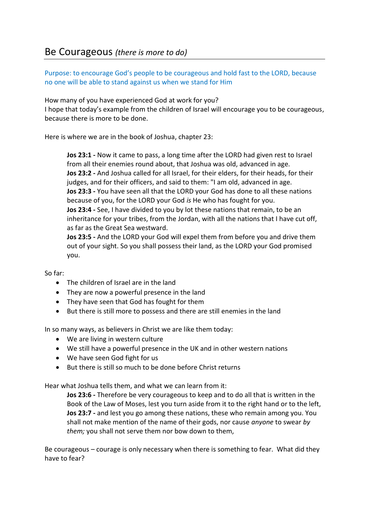Purpose: to encourage God's people to be courageous and hold fast to the LORD, because no one will be able to stand against us when we stand for Him

How many of you have experienced God at work for you? I hope that today's example from the children of Israel will encourage you to be courageous, because there is more to be done.

Here is where we are in the book of Joshua, chapter 23:

**Jos 23:1 -** Now it came to pass, a long time after the LORD had given rest to Israel from all their enemies round about, that Joshua was old, advanced in age. **Jos 23:2 -** And Joshua called for all Israel, for their elders, for their heads, for their judges, and for their officers, and said to them: "I am old, advanced in age. **Jos 23:3 -** You have seen all that the LORD your God has done to all these nations because of you, for the LORD your God *is* He who has fought for you. **Jos 23:4 -** See, I have divided to you by lot these nations that remain, to be an inheritance for your tribes, from the Jordan, with all the nations that I have cut off, as far as the Great Sea westward.

**Jos 23:5 -** And the LORD your God will expel them from before you and drive them out of your sight. So you shall possess their land, as the LORD your God promised you.

So far:

- The children of Israel are in the land
- They are now a powerful presence in the land
- They have seen that God has fought for them
- But there is still more to possess and there are still enemies in the land

In so many ways, as believers in Christ we are like them today:

- We are living in western culture
- We still have a powerful presence in the UK and in other western nations
- We have seen God fight for us
- But there is still so much to be done before Christ returns

Hear what Joshua tells them, and what we can learn from it:

**Jos 23:6 -** Therefore be very courageous to keep and to do all that is written in the Book of the Law of Moses, lest you turn aside from it to the right hand or to the left, **Jos 23:7 -** and lest you go among these nations, these who remain among you. You shall not make mention of the name of their gods, nor cause *anyone* to swear *by them;* you shall not serve them nor bow down to them,

Be courageous – courage is only necessary when there is something to fear. What did they have to fear?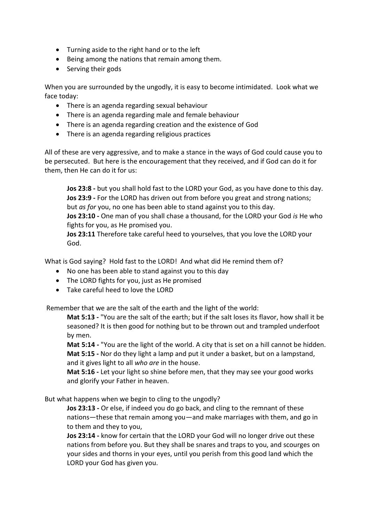- Turning aside to the right hand or to the left
- Being among the nations that remain among them.
- Serving their gods

When you are surrounded by the ungodly, it is easy to become intimidated. Look what we face today:

- There is an agenda regarding sexual behaviour
- There is an agenda regarding male and female behaviour
- There is an agenda regarding creation and the existence of God
- There is an agenda regarding religious practices

All of these are very aggressive, and to make a stance in the ways of God could cause you to be persecuted. But here is the encouragement that they received, and if God can do it for them, then He can do it for us:

**Jos 23:8 -** but you shall hold fast to the LORD your God, as you have done to this day. **Jos 23:9 -** For the LORD has driven out from before you great and strong nations; but *as for* you, no one has been able to stand against you to this day.

**Jos 23:10 -** One man of you shall chase a thousand, for the LORD your God *is* He who fights for you, as He promised you.

**Jos 23:11** Therefore take careful heed to yourselves, that you love the LORD your God.

What is God saying? Hold fast to the LORD! And what did He remind them of?

- No one has been able to stand against you to this day
- The LORD fights for you, just as He promised
- Take careful heed to love the LORD

Remember that we are the salt of the earth and the light of the world:

**Mat 5:13 -** "You are the salt of the earth; but if the salt loses its flavor, how shall it be seasoned? It is then good for nothing but to be thrown out and trampled underfoot by men.

**Mat 5:14 -** "You are the light of the world. A city that is set on a hill cannot be hidden. **Mat 5:15 -** Nor do they light a lamp and put it under a basket, but on a lampstand, and it gives light to all *who are* in the house.

**Mat 5:16 -** Let your light so shine before men, that they may see your good works and glorify your Father in heaven.

But what happens when we begin to cling to the ungodly?

**Jos 23:13 -** Or else, if indeed you do go back, and cling to the remnant of these nations—these that remain among you—and make marriages with them, and go in to them and they to you,

**Jos 23:14 -** know for certain that the LORD your God will no longer drive out these nations from before you. But they shall be snares and traps to you, and scourges on your sides and thorns in your eyes, until you perish from this good land which the LORD your God has given you.